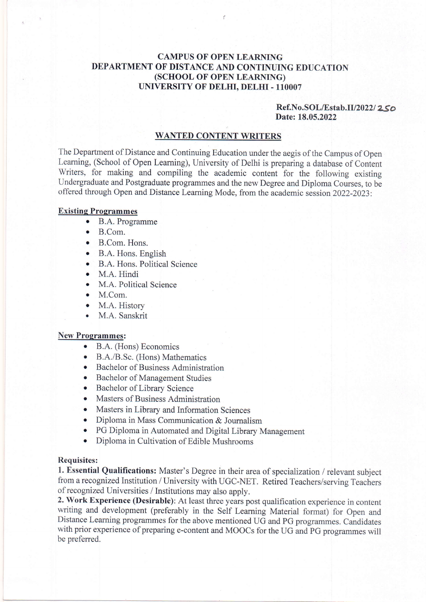# CAMPUS OF OPEN LEARNING DEPARTMENT OF DISTANCE AND CONTINUING EDUCATION (scHool, oF OPEN LEARNTNG) UNIVERSITY OF DELHI, DELHI - 11OOO7

## $Ref.No.SOL/Estab.II/2022/2,50$ Date: 18.05.2022

### WANTED CONTENT WRITERS

The Department of Distance and Continuing Education under the aegis of the Campus of Open Learning, (School of Open Leaming), University of Delhi is preparing a database of Content Writers, for making and compiling the academic content for the following existing Undergraduate and Postgraduate programmes and the new Degree and Diploma Courses, to be offered through Open and Distance Learning Mode, from the academic session 2022-2023:

#### Existing Programmes

- B.A. Programme
- $\bullet$  B.Com.
- o B.Com. Hons.
- o B.A. Hons. English
- B.A. Hons. Political Science
- M.A. Hindi
- M.A. Political Science
- $M. Com.$
- M.A. History
- . M.A. Sanskrit

#### New Programmes:

- o B.A. (Hons) Economics
- B.A./B.Sc. (Hons) Mathematics
- Bachelor of Business Administration
- o Bachelor of Management Studies
- o Bachelor of Library Science
- Masters of Business Administration
- o Masters in Library and Information Sciences
- o Diploma in Mass Communication & Journalism
- o PG Diploma in Automated and Digital Library Management
- o Diploma in Cultivation of Edible Mushrooms

#### Requisites:

1. Essential Qualifications: Master's Degree in their area of specialization / relevant subject from a recognized Institution / University with UGC-NET. Retired Teachers/serving Teachers of recognized Universities / Institutions may also apply.

2. Work Experience (Desirable): At least three years post qualification experience in content writing and development (preferably in the Self Learning Material format) for Open and Distance Learning programmes for the above mentioned UG and PG programmes. Candidates with prior experience of preparing e-content and MOOCs for the UG and PG programmes will be preferred.